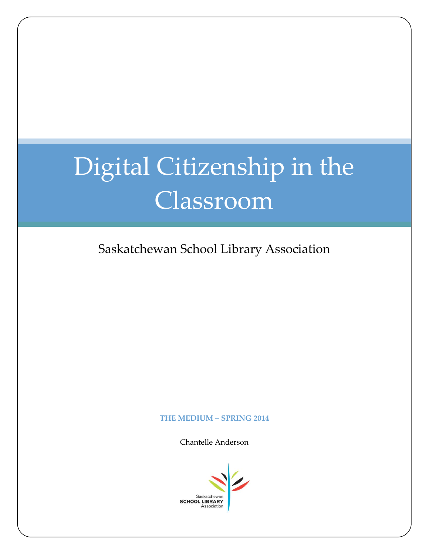## Digital Citizenship in the Classroom

Saskatchewan School Library Association

## **THE MEDIUM – SPRING 2014**

Chantelle Anderson

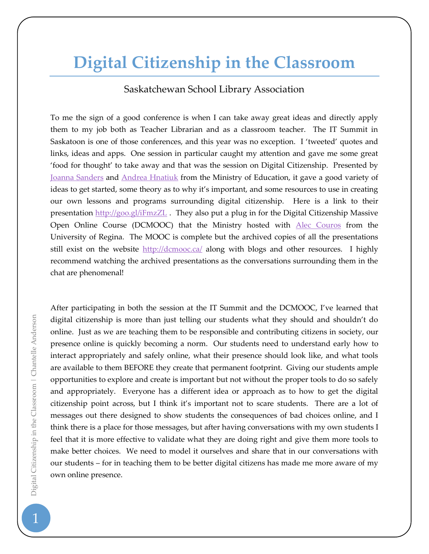## **Digital Citizenship in the Classroom**

## Saskatchewan School Library Association

To me the sign of a good conference is when I can take away great ideas and directly apply them to my job both as Teacher Librarian and as a classroom teacher. The IT Summit in Saskatoon is one of those conferences, and this year was no exception. I 'tweeted' quotes and links, ideas and apps. One session in particular caught my attention and gave me some great 'food for thought' to take away and that was the session on Digital Citizenship. Presented by [Joanna Sanders](https://www.google.com/url?q=https%3A%2F%2Ftwitter.com%2FMmeSanders&sa=D&sntz=1&usg=AFQjCNE_DE8Itqg7NEc17vwwiFV8lTBeug) and [Andrea Hnatiuk](https://www.google.com/url?q=https%3A%2F%2Ftwitter.com%2Fahnatiuk&sa=D&sntz=1&usg=AFQjCNHIriDeEY6e1K_Y0dxka7txXUEEvQ) from the Ministry of Education, it gave a good variety of ideas to get started, some theory as to why it's important, and some resources to use in creating our own lessons and programs surrounding digital citizenship. Here is a link to their presentation<http://goo.gl/iFmzZL> . They also put a plug in for the Digital Citizenship Massive Open Online Course (DCMOOC) that the Ministry hosted with [Alec Couros](http://about.me/couros) from the University of Regina. The MOOC is complete but the archived copies of all the presentations still exist on the website<http://dcmooc.ca/> along with blogs and other resources. I highly recommend watching the archived presentations as the conversations surrounding them in the chat are phenomenal!

After participating in both the session at the IT Summit and the DCMOOC, I've learned that digital citizenship is more than just telling our students what they should and shouldn't do online. Just as we are teaching them to be responsible and contributing citizens in society, our presence online is quickly becoming a norm. Our students need to understand early how to interact appropriately and safely online, what their presence should look like, and what tools are available to them BEFORE they create that permanent footprint. Giving our students ample opportunities to explore and create is important but not without the proper tools to do so safely and appropriately. Everyone has a different idea or approach as to how to get the digital citizenship point across, but I think it's important not to scare students. There are a lot of messages out there designed to show students the consequences of bad choices online, and I think there is a place for those messages, but after having conversations with my own students I feel that it is more effective to validate what they are doing right and give them more tools to make better choices. We need to model it ourselves and share that in our conversations with our students – for in teaching them to be better digital citizens has made me more aware of my own online presence.